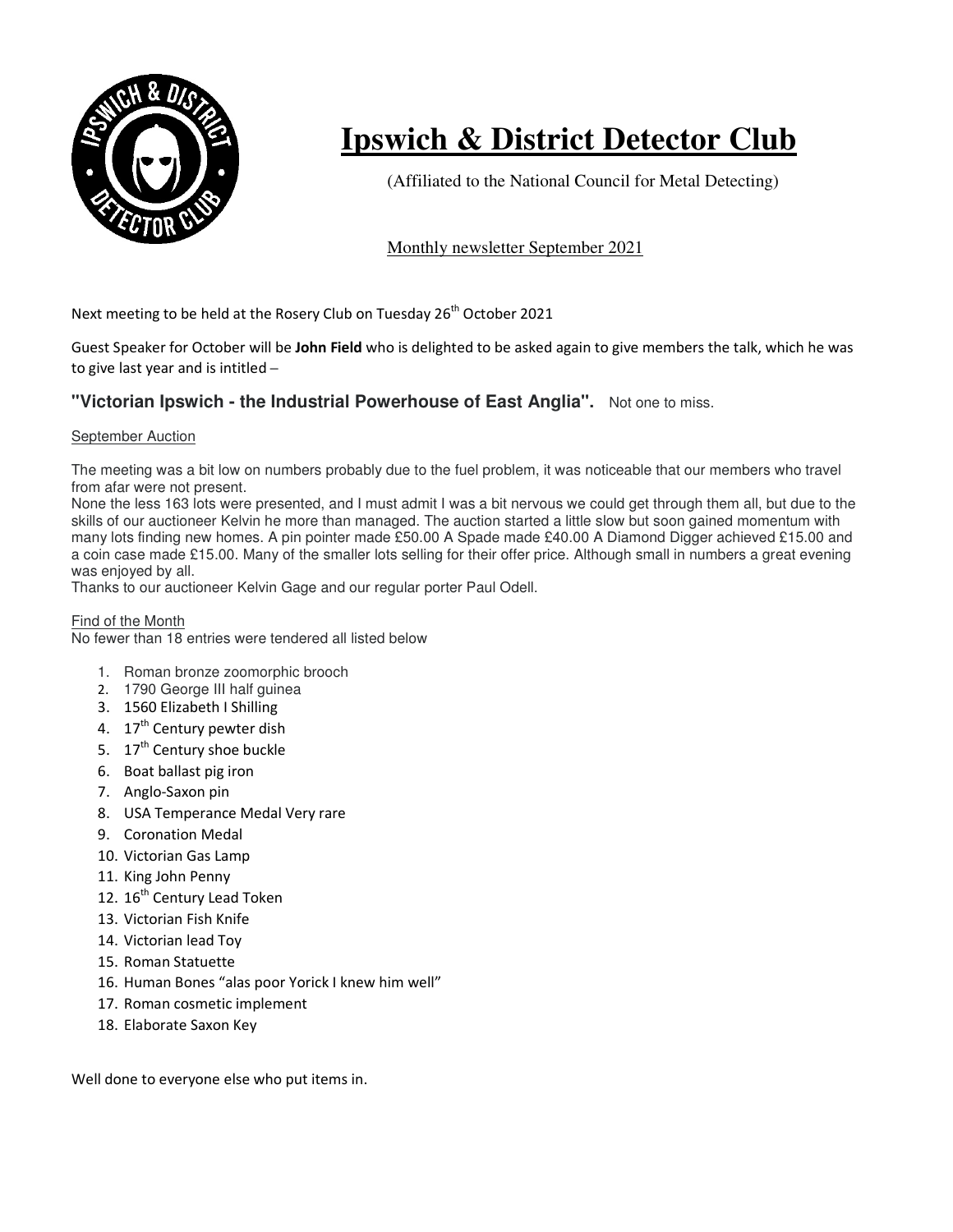

# **Ipswich & District Detector Club**

(Affiliated to the National Council for Metal Detecting)

## Monthly newsletter September 2021

Next meeting to be held at the Rosery Club on Tuesday 26<sup>th</sup> October 2021

Guest Speaker for October will be **John Field** who is delighted to be asked again to give members the talk, which he was to give last year and is intitled –

## **"Victorian Ipswich - the Industrial Powerhouse of East Anglia".** Not one to miss.

#### September Auction

The meeting was a bit low on numbers probably due to the fuel problem, it was noticeable that our members who travel from afar were not present.

None the less 163 lots were presented, and I must admit I was a bit nervous we could get through them all, but due to the skills of our auctioneer Kelvin he more than managed. The auction started a little slow but soon gained momentum with many lots finding new homes. A pin pointer made £50.00 A Spade made £40.00 A Diamond Digger achieved £15.00 and a coin case made £15.00. Many of the smaller lots selling for their offer price. Although small in numbers a great evening was enjoyed by all.

Thanks to our auctioneer Kelvin Gage and our regular porter Paul Odell.

### Find of the Month

No fewer than 18 entries were tendered all listed below

- 1. Roman bronze zoomorphic brooch
- 2. 1790 George III half guinea
- 3. 1560 Elizabeth I Shilling
- 4. 17<sup>th</sup> Century pewter dish
- 5. 17<sup>th</sup> Century shoe buckle
- 6. Boat ballast pig iron
- 7. Anglo-Saxon pin
- 8. USA Temperance Medal Very rare
- 9. Coronation Medal
- 10. Victorian Gas Lamp
- 11. King John Penny
- 12. 16<sup>th</sup> Century Lead Token
- 13. Victorian Fish Knife
- 14. Victorian lead Toy
- 15. Roman Statuette
- 16. Human Bones "alas poor Yorick I knew him well"
- 17. Roman cosmetic implement
- 18. Elaborate Saxon Key

Well done to everyone else who put items in.